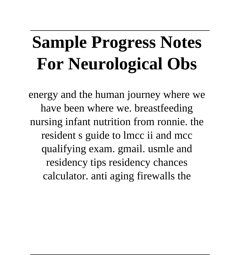# **Sample Progress Notes For Neurological Obs**

energy and the human journey where we have been where we. breastfeeding nursing infant nutrition from ronnie. the resident s guide to lmcc ii and mcc qualifying exam. gmail. usmle and residency tips residency chances calculator. anti aging firewalls the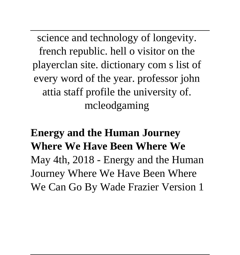science and technology of longevity. french republic. hell o visitor on the playerclan site. dictionary com s list of every word of the year. professor john attia staff profile the university of. mcleodgaming

## **Energy and the Human Journey Where We Have Been Where We** May 4th, 2018 - Energy and the Human Journey Where We Have Been Where We Can Go By Wade Frazier Version 1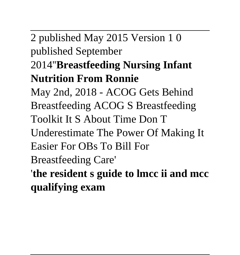2 published May 2015 Version 1 0 published September

## 2014''**Breastfeeding Nursing Infant Nutrition From Ronnie**

May 2nd, 2018 - ACOG Gets Behind Breastfeeding ACOG S Breastfeeding Toolkit It S About Time Don T

Underestimate The Power Of Making It Easier For OBs To Bill For

Breastfeeding Care'

'**the resident s guide to lmcc ii and mcc qualifying exam**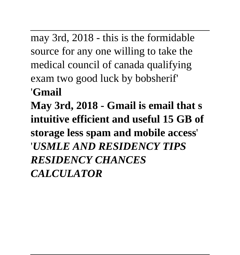may 3rd, 2018 - this is the formidable source for any one willing to take the medical council of canada qualifying exam two good luck by bobsherif'

#### '**Gmail**

**May 3rd, 2018 - Gmail is email that s intuitive efficient and useful 15 GB of storage less spam and mobile access**' '*USMLE AND RESIDENCY TIPS RESIDENCY CHANCES CALCULATOR*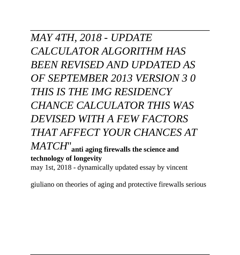*MAY 4TH, 2018 - UPDATE CALCULATOR ALGORITHM HAS BEEN REVISED AND UPDATED AS OF SEPTEMBER 2013 VERSION 3 0 THIS IS THE IMG RESIDENCY CHANCE CALCULATOR THIS WAS DEVISED WITH A FEW FACTORS THAT AFFECT YOUR CHANCES AT MATCH*''**anti aging firewalls the science and technology of longevity** may 1st, 2018 - dynamically updated essay by vincent

giuliano on theories of aging and protective firewalls serious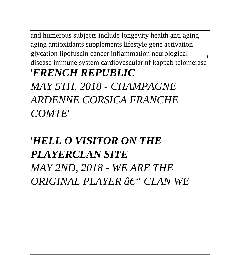and humerous subjects include longevity health anti aging aging antioxidants supplements lifestyle gene activation glycation lipofuscin cancer inflammation neurological disease immune system cardiovascular nf kappab telomerase' '*FRENCH REPUBLIC*

*MAY 5TH, 2018 - CHAMPAGNE ARDENNE CORSICA FRANCHE COMTE*'

## '*HELL O VISITOR ON THE PLAYERCLAN SITE MAY 2ND, 2018 - WE ARE THE ORIGINAL PLAYER – CLAN WE*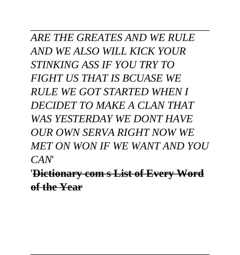*ARE THE GREATES AND WE RULE AND WE ALSO WILL KICK YOUR STINKING ASS IF YOU TRY TO FIGHT US THAT IS BCUASE WE RULE WE GOT STARTED WHEN I DECIDET TO MAKE A CLAN THAT WAS YESTERDAY WE DONT HAVE OUR OWN SERVA RIGHT NOW WE MET ON WON IF WE WANT AND YOU CAN*'

'**Dictionary com s List of Every Word of the Year**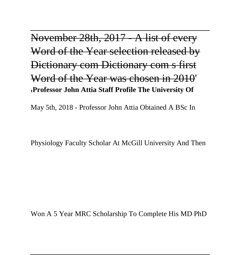November 28th, 2017 A list of every Word of the Year selection released by Dictionary com Dictionary com s first Word of the Year was chosen in 2010' '**Professor John Attia Staff Profile The University Of**

May 5th, 2018 - Professor John Attia Obtained A BSc In

Physiology Faculty Scholar At McGill University And Then

Won A 5 Year MRC Scholarship To Complete His MD PhD